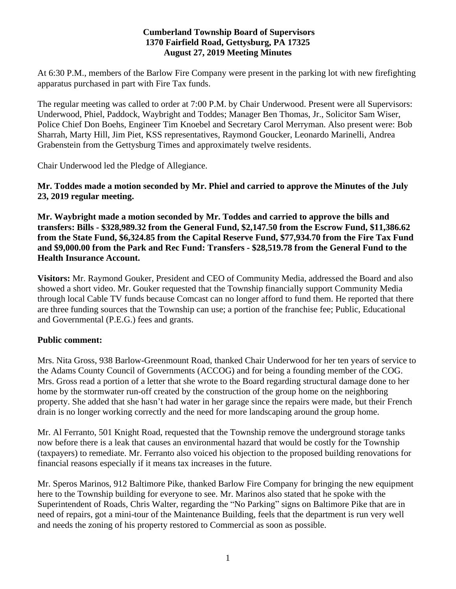#### **Cumberland Township Board of Supervisors 1370 Fairfield Road, Gettysburg, PA 17325 August 27, 2019 Meeting Minutes**

At 6:30 P.M., members of the Barlow Fire Company were present in the parking lot with new firefighting apparatus purchased in part with Fire Tax funds.

The regular meeting was called to order at 7:00 P.M. by Chair Underwood. Present were all Supervisors: Underwood, Phiel, Paddock, Waybright and Toddes; Manager Ben Thomas, Jr., Solicitor Sam Wiser, Police Chief Don Boehs, Engineer Tim Knoebel and Secretary Carol Merryman. Also present were: Bob Sharrah, Marty Hill, Jim Piet, KSS representatives, Raymond Goucker, Leonardo Marinelli, Andrea Grabenstein from the Gettysburg Times and approximately twelve residents.

Chair Underwood led the Pledge of Allegiance.

**Mr. Toddes made a motion seconded by Mr. Phiel and carried to approve the Minutes of the July 23, 2019 regular meeting.**

**Mr. Waybright made a motion seconded by Mr. Toddes and carried to approve the bills and transfers: Bills - \$328,989.32 from the General Fund, \$2,147.50 from the Escrow Fund, \$11,386.62 from the State Fund, \$6,324.85 from the Capital Reserve Fund, \$77,934.70 from the Fire Tax Fund and \$9,000.00 from the Park and Rec Fund: Transfers - \$28,519.78 from the General Fund to the Health Insurance Account.**

**Visitors:** Mr. Raymond Gouker, President and CEO of Community Media, addressed the Board and also showed a short video. Mr. Gouker requested that the Township financially support Community Media through local Cable TV funds because Comcast can no longer afford to fund them. He reported that there are three funding sources that the Township can use; a portion of the franchise fee; Public, Educational and Governmental (P.E.G.) fees and grants.

## **Public comment:**

Mrs. Nita Gross, 938 Barlow-Greenmount Road, thanked Chair Underwood for her ten years of service to the Adams County Council of Governments (ACCOG) and for being a founding member of the COG. Mrs. Gross read a portion of a letter that she wrote to the Board regarding structural damage done to her home by the stormwater run-off created by the construction of the group home on the neighboring property. She added that she hasn't had water in her garage since the repairs were made, but their French drain is no longer working correctly and the need for more landscaping around the group home.

Mr. Al Ferranto, 501 Knight Road, requested that the Township remove the underground storage tanks now before there is a leak that causes an environmental hazard that would be costly for the Township (taxpayers) to remediate. Mr. Ferranto also voiced his objection to the proposed building renovations for financial reasons especially if it means tax increases in the future.

Mr. Speros Marinos, 912 Baltimore Pike, thanked Barlow Fire Company for bringing the new equipment here to the Township building for everyone to see. Mr. Marinos also stated that he spoke with the Superintendent of Roads, Chris Walter, regarding the "No Parking" signs on Baltimore Pike that are in need of repairs, got a mini-tour of the Maintenance Building, feels that the department is run very well and needs the zoning of his property restored to Commercial as soon as possible.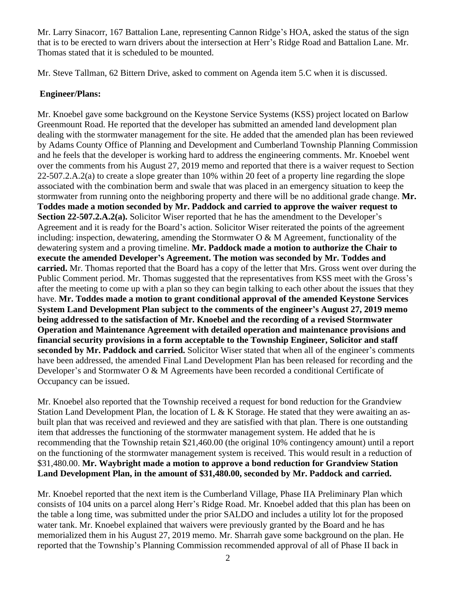Mr. Larry Sinacorr, 167 Battalion Lane, representing Cannon Ridge's HOA, asked the status of the sign that is to be erected to warn drivers about the intersection at Herr's Ridge Road and Battalion Lane. Mr. Thomas stated that it is scheduled to be mounted.

Mr. Steve Tallman, 62 Bittern Drive, asked to comment on Agenda item 5.C when it is discussed.

# **Engineer/Plans:**

Mr. Knoebel gave some background on the Keystone Service Systems (KSS) project located on Barlow Greenmount Road. He reported that the developer has submitted an amended land development plan dealing with the stormwater management for the site. He added that the amended plan has been reviewed by Adams County Office of Planning and Development and Cumberland Township Planning Commission and he feels that the developer is working hard to address the engineering comments. Mr. Knoebel went over the comments from his August 27, 2019 memo and reported that there is a waiver request to Section 22-507.2.A.2(a) to create a slope greater than 10% within 20 feet of a property line regarding the slope associated with the combination berm and swale that was placed in an emergency situation to keep the stormwater from running onto the neighboring property and there will be no additional grade change. **Mr. Toddes made a motion seconded by Mr. Paddock and carried to approve the waiver request to Section 22-507.2.A.2(a).** Solicitor Wiser reported that he has the amendment to the Developer's Agreement and it is ready for the Board's action. Solicitor Wiser reiterated the points of the agreement including: inspection, dewatering, amending the Stormwater  $O & M$  Agreement, functionality of the dewatering system and a proving timeline. **Mr. Paddock made a motion to authorize the Chair to execute the amended Developer's Agreement. The motion was seconded by Mr. Toddes and carried.** Mr. Thomas reported that the Board has a copy of the letter that Mrs. Gross went over during the Public Comment period. Mr. Thomas suggested that the representatives from KSS meet with the Gross's after the meeting to come up with a plan so they can begin talking to each other about the issues that they have. **Mr. Toddes made a motion to grant conditional approval of the amended Keystone Services System Land Development Plan subject to the comments of the engineer's August 27, 2019 memo being addressed to the satisfaction of Mr. Knoebel and the recording of a revised Stormwater Operation and Maintenance Agreement with detailed operation and maintenance provisions and financial security provisions in a form acceptable to the Township Engineer, Solicitor and staff seconded by Mr. Paddock and carried.** Solicitor Wiser stated that when all of the engineer's comments have been addressed, the amended Final Land Development Plan has been released for recording and the Developer's and Stormwater O & M Agreements have been recorded a conditional Certificate of Occupancy can be issued.

Mr. Knoebel also reported that the Township received a request for bond reduction for the Grandview Station Land Development Plan, the location of L & K Storage. He stated that they were awaiting an asbuilt plan that was received and reviewed and they are satisfied with that plan. There is one outstanding item that addresses the functioning of the stormwater management system. He added that he is recommending that the Township retain \$21,460.00 (the original 10% contingency amount) until a report on the functioning of the stormwater management system is received. This would result in a reduction of \$31,480.00. **Mr. Waybright made a motion to approve a bond reduction for Grandview Station Land Development Plan, in the amount of \$31,480.00, seconded by Mr. Paddock and carried.**

Mr. Knoebel reported that the next item is the Cumberland Village, Phase IIA Preliminary Plan which consists of 104 units on a parcel along Herr's Ridge Road. Mr. Knoebel added that this plan has been on the table a long time, was submitted under the prior SALDO and includes a utility lot for the proposed water tank. Mr. Knoebel explained that waivers were previously granted by the Board and he has memorialized them in his August 27, 2019 memo. Mr. Sharrah gave some background on the plan. He reported that the Township's Planning Commission recommended approval of all of Phase II back in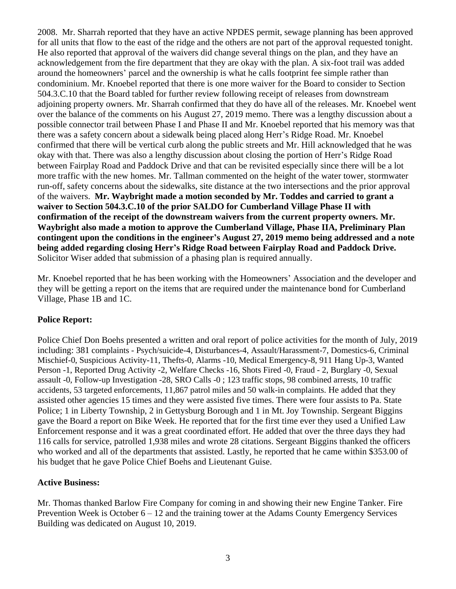2008. Mr. Sharrah reported that they have an active NPDES permit, sewage planning has been approved for all units that flow to the east of the ridge and the others are not part of the approval requested tonight. He also reported that approval of the waivers did change several things on the plan, and they have an acknowledgement from the fire department that they are okay with the plan. A six-foot trail was added around the homeowners' parcel and the ownership is what he calls footprint fee simple rather than condominium. Mr. Knoebel reported that there is one more waiver for the Board to consider to Section 504.3.C.10 that the Board tabled for further review following receipt of releases from downstream adjoining property owners. Mr. Sharrah confirmed that they do have all of the releases. Mr. Knoebel went over the balance of the comments on his August 27, 2019 memo. There was a lengthy discussion about a possible connector trail between Phase I and Phase II and Mr. Knoebel reported that his memory was that there was a safety concern about a sidewalk being placed along Herr's Ridge Road. Mr. Knoebel confirmed that there will be vertical curb along the public streets and Mr. Hill acknowledged that he was okay with that. There was also a lengthy discussion about closing the portion of Herr's Ridge Road between Fairplay Road and Paddock Drive and that can be revisited especially since there will be a lot more traffic with the new homes. Mr. Tallman commented on the height of the water tower, stormwater run-off, safety concerns about the sidewalks, site distance at the two intersections and the prior approval of the waivers. **Mr. Waybright made a motion seconded by Mr. Toddes and carried to grant a waiver to Section 504.3.C.10 of the prior SALDO for Cumberland Village Phase II with confirmation of the receipt of the downstream waivers from the current property owners. Mr. Waybright also made a motion to approve the Cumberland Village, Phase IIA, Preliminary Plan contingent upon the conditions in the engineer's August 27, 2019 memo being addressed and a note being added regarding closing Herr's Ridge Road between Fairplay Road and Paddock Drive.** Solicitor Wiser added that submission of a phasing plan is required annually.

Mr. Knoebel reported that he has been working with the Homeowners' Association and the developer and they will be getting a report on the items that are required under the maintenance bond for Cumberland Village, Phase 1B and 1C.

## **Police Report:**

Police Chief Don Boehs presented a written and oral report of police activities for the month of July, 2019 including: 381 complaints - Psych/suicide-4, Disturbances-4, Assault/Harassment-7, Domestics-6, Criminal Mischief-0, Suspicious Activity-11, Thefts-0, Alarms -10, Medical Emergency-8, 911 Hang Up-3, Wanted Person -1, Reported Drug Activity -2, Welfare Checks -16, Shots Fired -0, Fraud - 2, Burglary -0, Sexual assault -0, Follow-up Investigation -28, SRO Calls -0 ; 123 traffic stops, 98 combined arrests, 10 traffic accidents, 53 targeted enforcements, 11,867 patrol miles and 50 walk-in complaints. He added that they assisted other agencies 15 times and they were assisted five times. There were four assists to Pa. State Police; 1 in Liberty Township, 2 in Gettysburg Borough and 1 in Mt. Joy Township. Sergeant Biggins gave the Board a report on Bike Week. He reported that for the first time ever they used a Unified Law Enforcement response and it was a great coordinated effort. He added that over the three days they had 116 calls for service, patrolled 1,938 miles and wrote 28 citations. Sergeant Biggins thanked the officers who worked and all of the departments that assisted. Lastly, he reported that he came within \$353.00 of his budget that he gave Police Chief Boehs and Lieutenant Guise.

## **Active Business:**

Mr. Thomas thanked Barlow Fire Company for coming in and showing their new Engine Tanker. Fire Prevention Week is October  $6 - 12$  and the training tower at the Adams County Emergency Services Building was dedicated on August 10, 2019.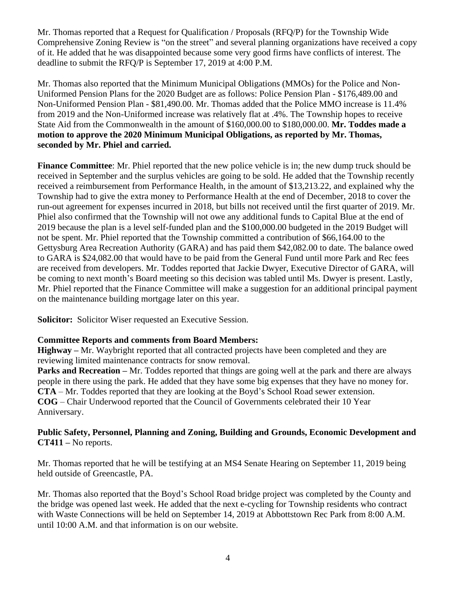Mr. Thomas reported that a Request for Qualification / Proposals (RFQ/P) for the Township Wide Comprehensive Zoning Review is "on the street" and several planning organizations have received a copy of it. He added that he was disappointed because some very good firms have conflicts of interest. The deadline to submit the RFQ/P is September 17, 2019 at 4:00 P.M.

Mr. Thomas also reported that the Minimum Municipal Obligations (MMOs) for the Police and Non-Uniformed Pension Plans for the 2020 Budget are as follows: Police Pension Plan - \$176,489.00 and Non-Uniformed Pension Plan - \$81,490.00. Mr. Thomas added that the Police MMO increase is 11.4% from 2019 and the Non-Uniformed increase was relatively flat at .4%. The Township hopes to receive State Aid from the Commonwealth in the amount of \$160,000.00 to \$180,000.00. **Mr. Toddes made a motion to approve the 2020 Minimum Municipal Obligations, as reported by Mr. Thomas, seconded by Mr. Phiel and carried.** 

**Finance Committee**: Mr. Phiel reported that the new police vehicle is in; the new dump truck should be received in September and the surplus vehicles are going to be sold. He added that the Township recently received a reimbursement from Performance Health, in the amount of \$13,213.22, and explained why the Township had to give the extra money to Performance Health at the end of December, 2018 to cover the run-out agreement for expenses incurred in 2018, but bills not received until the first quarter of 2019. Mr. Phiel also confirmed that the Township will not owe any additional funds to Capital Blue at the end of 2019 because the plan is a level self-funded plan and the \$100,000.00 budgeted in the 2019 Budget will not be spent. Mr. Phiel reported that the Township committed a contribution of \$66,164.00 to the Gettysburg Area Recreation Authority (GARA) and has paid them \$42,082.00 to date. The balance owed to GARA is \$24,082.00 that would have to be paid from the General Fund until more Park and Rec fees are received from developers. Mr. Toddes reported that Jackie Dwyer, Executive Director of GARA, will be coming to next month's Board meeting so this decision was tabled until Ms. Dwyer is present. Lastly, Mr. Phiel reported that the Finance Committee will make a suggestion for an additional principal payment on the maintenance building mortgage later on this year.

**Solicitor:** Solicitor Wiser requested an Executive Session.

## **Committee Reports and comments from Board Members:**

**Highway –** Mr. Waybright reported that all contracted projects have been completed and they are reviewing limited maintenance contracts for snow removal.

**Parks and Recreation –** Mr. Toddes reported that things are going well at the park and there are always people in there using the park. He added that they have some big expenses that they have no money for. **CTA** – Mr. Toddes reported that they are looking at the Boyd's School Road sewer extension. **COG** – Chair Underwood reported that the Council of Governments celebrated their 10 Year Anniversary.

#### **Public Safety, Personnel, Planning and Zoning, Building and Grounds, Economic Development and CT411 –** No reports.

Mr. Thomas reported that he will be testifying at an MS4 Senate Hearing on September 11, 2019 being held outside of Greencastle, PA.

Mr. Thomas also reported that the Boyd's School Road bridge project was completed by the County and the bridge was opened last week. He added that the next e-cycling for Township residents who contract with Waste Connections will be held on September 14, 2019 at Abbottstown Rec Park from 8:00 A.M. until 10:00 A.M. and that information is on our website.